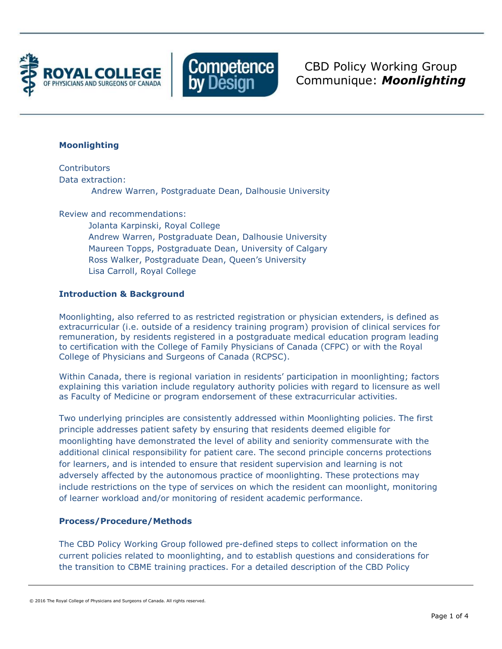



CBD Policy Working Group Communique: *Moonlighting*

## **Moonlighting**

**Contributors** Data extraction: Andrew Warren, Postgraduate Dean, Dalhousie University

Review and recommendations:

Jolanta Karpinski, Royal College Andrew Warren, Postgraduate Dean, Dalhousie University Maureen Topps, Postgraduate Dean, University of Calgary Ross Walker, Postgraduate Dean, Queen's University Lisa Carroll, Royal College

# **Introduction & Background**

Moonlighting, also referred to as restricted registration or physician extenders, is defined as extracurricular (i.e. outside of a residency training program) provision of clinical services for remuneration, by residents registered in a postgraduate medical education program leading to certification with the College of Family Physicians of Canada (CFPC) or with the Royal College of Physicians and Surgeons of Canada (RCPSC).

Within Canada, there is regional variation in residents' participation in moonlighting; factors explaining this variation include regulatory authority policies with regard to licensure as well as Faculty of Medicine or program endorsement of these extracurricular activities.

Two underlying principles are consistently addressed within Moonlighting policies. The first principle addresses patient safety by ensuring that residents deemed eligible for moonlighting have demonstrated the level of ability and seniority commensurate with the additional clinical responsibility for patient care. The second principle concerns protections for learners, and is intended to ensure that resident supervision and learning is not adversely affected by the autonomous practice of moonlighting. These protections may include restrictions on the type of services on which the resident can moonlight, monitoring of learner workload and/or monitoring of resident academic performance.

## **Process/Procedure/Methods**

The CBD Policy Working Group followed pre-defined steps to collect information on the current policies related to moonlighting, and to establish questions and considerations for the transition to CBME training practices. For a detailed description of the CBD Policy

<sup>© 2016</sup> The Royal College of Physicians and Surgeons of Canada. All rights reserved.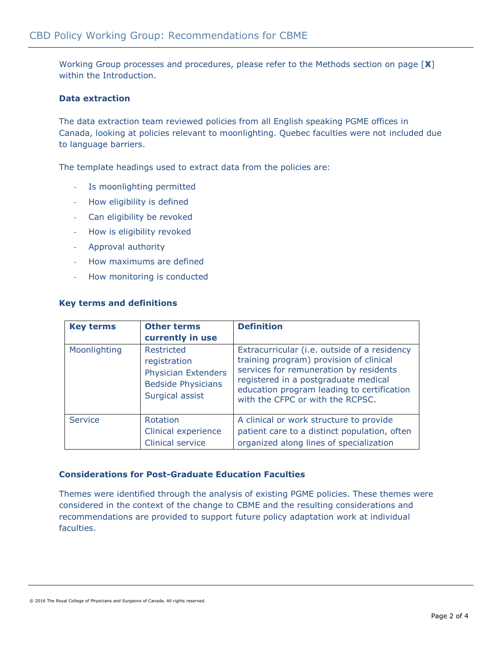Working Group processes and procedures, please refer to the Methods section on page [**X**] within the Introduction.

## **Data extraction**

The data extraction team reviewed policies from all English speaking PGME offices in Canada, looking at policies relevant to moonlighting. Quebec faculties were not included due to language barriers.

The template headings used to extract data from the policies are:

- Is moonlighting permitted
- How eligibility is defined
- Can eligibility be revoked
- How is eligibility revoked
- Approval authority
- How maximums are defined
- How monitoring is conducted

#### **Key terms and definitions**

| <b>Key terms</b> | <b>Other terms</b><br>currently in use                                                                          | <b>Definition</b>                                                                                                                                                                                                                                           |
|------------------|-----------------------------------------------------------------------------------------------------------------|-------------------------------------------------------------------------------------------------------------------------------------------------------------------------------------------------------------------------------------------------------------|
| Moonlighting     | <b>Restricted</b><br>registration<br><b>Physician Extenders</b><br><b>Bedside Physicians</b><br>Surgical assist | Extracurricular (i.e. outside of a residency<br>training program) provision of clinical<br>services for remuneration by residents<br>registered in a postgraduate medical<br>education program leading to certification<br>with the CFPC or with the RCPSC. |
| Service          | <b>Rotation</b><br>Clinical experience<br>Clinical service                                                      | A clinical or work structure to provide<br>patient care to a distinct population, often<br>organized along lines of specialization                                                                                                                          |

#### **Considerations for Post-Graduate Education Faculties**

Themes were identified through the analysis of existing PGME policies. These themes were considered in the context of the change to CBME and the resulting considerations and recommendations are provided to support future policy adaptation work at individual faculties.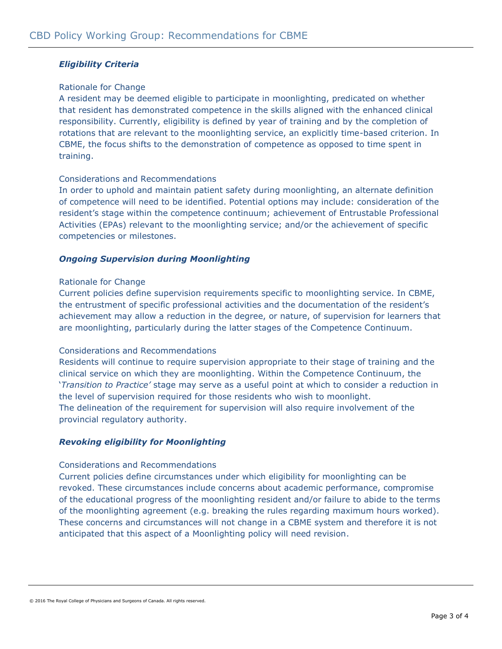# *Eligibility Criteria*

### Rationale for Change

A resident may be deemed eligible to participate in moonlighting, predicated on whether that resident has demonstrated competence in the skills aligned with the enhanced clinical responsibility. Currently, eligibility is defined by year of training and by the completion of rotations that are relevant to the moonlighting service, an explicitly time-based criterion. In CBME, the focus shifts to the demonstration of competence as opposed to time spent in training.

### Considerations and Recommendations

In order to uphold and maintain patient safety during moonlighting, an alternate definition of competence will need to be identified. Potential options may include: consideration of the resident's stage within the competence continuum; achievement of Entrustable Professional Activities (EPAs) relevant to the moonlighting service; and/or the achievement of specific competencies or milestones.

## *Ongoing Supervision during Moonlighting*

#### Rationale for Change

Current policies define supervision requirements specific to moonlighting service. In CBME, the entrustment of specific professional activities and the documentation of the resident's achievement may allow a reduction in the degree, or nature, of supervision for learners that are moonlighting, particularly during the latter stages of the Competence Continuum.

#### Considerations and Recommendations

Residents will continue to require supervision appropriate to their stage of training and the clinical service on which they are moonlighting. Within the Competence Continuum, the '*Transition to Practice'* stage may serve as a useful point at which to consider a reduction in the level of supervision required for those residents who wish to moonlight. The delineation of the requirement for supervision will also require involvement of the provincial regulatory authority.

# *Revoking eligibility for Moonlighting*

#### Considerations and Recommendations

Current policies define circumstances under which eligibility for moonlighting can be revoked. These circumstances include concerns about academic performance, compromise of the educational progress of the moonlighting resident and/or failure to abide to the terms of the moonlighting agreement (e.g. breaking the rules regarding maximum hours worked). These concerns and circumstances will not change in a CBME system and therefore it is not anticipated that this aspect of a Moonlighting policy will need revision.